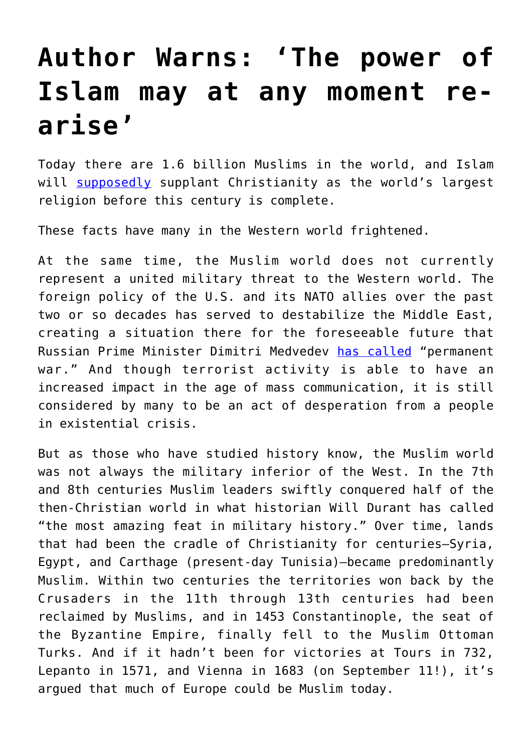## **[Author Warns: 'The power of](https://intellectualtakeout.org/2017/05/author-warns-the-power-of-islam-may-at-any-moment-re-arise/) [Islam may at any moment re](https://intellectualtakeout.org/2017/05/author-warns-the-power-of-islam-may-at-any-moment-re-arise/)[arise'](https://intellectualtakeout.org/2017/05/author-warns-the-power-of-islam-may-at-any-moment-re-arise/)**

Today there are 1.6 billion Muslims in the world, and Islam will [supposedly](http://www.npr.org/sections/thetwo-way/2015/04/02/397042004/muslim-population-will-surpass-christians-this-century-pew-says) supplant Christianity as the world's largest religion before this century is complete.

These facts have many in the Western world frightened.

At the same time, the Muslim world does not currently represent a united military threat to the Western world. The foreign policy of the U.S. and its NATO allies over the past two or so decades has served to destabilize the Middle East, creating a situation there for the foreseeable future that Russian Prime Minister Dimitri Medvedev [has called](https://themoscowtimes.com/news/russias-medvedev-syrian-conflict-may-become-permanent-war-51814) "permanent war." And though terrorist activity is able to have an increased impact in the age of mass communication, it is still considered by many to be an act of desperation from a people in existential crisis.

But as those who have studied history know, the Muslim world was not always the military inferior of the West. In the 7th and 8th centuries Muslim leaders swiftly conquered half of the then-Christian world in what historian Will Durant has called "the most amazing feat in military history." Over time, lands that had been the cradle of Christianity for centuries—Syria, Egypt, and Carthage (present-day Tunisia)—became predominantly Muslim. Within two centuries the territories won back by the Crusaders in the 11th through 13th centuries had been reclaimed by Muslims, and in 1453 Constantinople, the seat of the Byzantine Empire, finally fell to the Muslim Ottoman Turks. And if it hadn't been for victories at Tours in 732, Lepanto in 1571, and Vienna in 1683 (on September 11!), it's argued that much of Europe could be Muslim today.